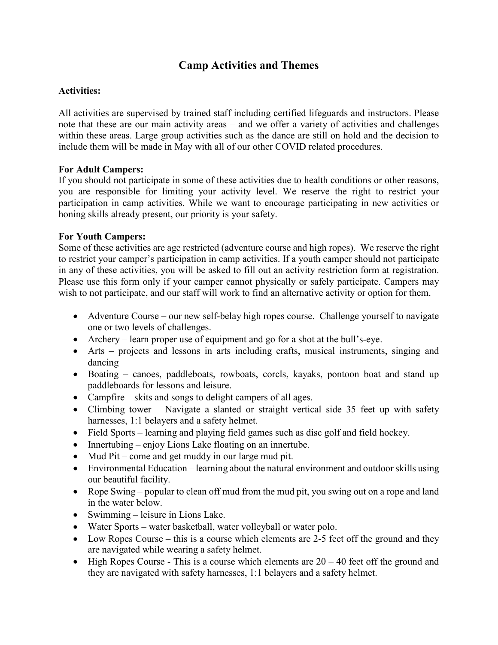# **Camp Activities and Themes**

## **Activities:**

All activities are supervised by trained staff including certified lifeguards and instructors. Please note that these are our main activity areas – and we offer a variety of activities and challenges within these areas. Large group activities such as the dance are still on hold and the decision to include them will be made in May with all of our other COVID related procedures.

## **For Adult Campers:**

If you should not participate in some of these activities due to health conditions or other reasons, you are responsible for limiting your activity level. We reserve the right to restrict your participation in camp activities. While we want to encourage participating in new activities or honing skills already present, our priority is your safety.

## **For Youth Campers:**

Some of these activities are age restricted (adventure course and high ropes). We reserve the right to restrict your camper's participation in camp activities. If a youth camper should not participate in any of these activities, you will be asked to fill out an activity restriction form at registration. Please use this form only if your camper cannot physically or safely participate. Campers may wish to not participate, and our staff will work to find an alternative activity or option for them.

- Adventure Course our new self-belay high ropes course. Challenge yourself to navigate one or two levels of challenges.
- Archery learn proper use of equipment and go for a shot at the bull's-eye.
- Arts projects and lessons in arts including crafts, musical instruments, singing and dancing
- Boating canoes, paddleboats, rowboats, corcls, kayaks, pontoon boat and stand up paddleboards for lessons and leisure.
- Campfire skits and songs to delight campers of all ages.
- Climbing tower Navigate a slanted or straight vertical side 35 feet up with safety harnesses, 1:1 belayers and a safety helmet.
- Field Sports learning and playing field games such as disc golf and field hockey.
- Innertubing enjoy Lions Lake floating on an innertube.
- Mud Pit come and get muddy in our large mud pit.
- Environmental Education learning about the natural environment and outdoor skills using our beautiful facility.
- Rope Swing popular to clean off mud from the mud pit, you swing out on a rope and land in the water below.
- Swimming leisure in Lions Lake.
- Water Sports water basketball, water volleyball or water polo.
- Low Ropes Course this is a course which elements are 2-5 feet off the ground and they are navigated while wearing a safety helmet.
- High Ropes Course This is a course which elements are  $20 40$  feet off the ground and they are navigated with safety harnesses, 1:1 belayers and a safety helmet.